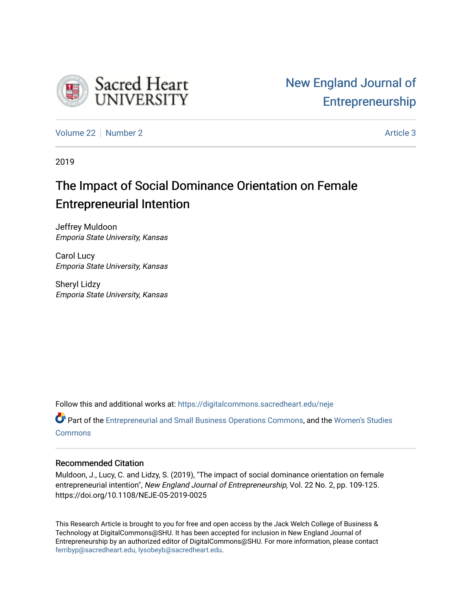

[Volume 22](https://digitalcommons.sacredheart.edu/neje/vol22) [Number 2](https://digitalcommons.sacredheart.edu/neje/vol22/iss2) Article 3

2019

# The Impact of Social Dominance Orientation on Female Entrepreneurial Intention

Jeffrey Muldoon Emporia State University, Kansas

Carol Lucy Emporia State University, Kansas

Sheryl Lidzy Emporia State University, Kansas

Follow this and additional works at: [https://digitalcommons.sacredheart.edu/neje](https://digitalcommons.sacredheart.edu/neje?utm_source=digitalcommons.sacredheart.edu%2Fneje%2Fvol22%2Fiss2%2F3&utm_medium=PDF&utm_campaign=PDFCoverPages) 

Part of the [Entrepreneurial and Small Business Operations Commons,](http://network.bepress.com/hgg/discipline/630?utm_source=digitalcommons.sacredheart.edu%2Fneje%2Fvol22%2Fiss2%2F3&utm_medium=PDF&utm_campaign=PDFCoverPages) and the [Women's Studies](http://network.bepress.com/hgg/discipline/561?utm_source=digitalcommons.sacredheart.edu%2Fneje%2Fvol22%2Fiss2%2F3&utm_medium=PDF&utm_campaign=PDFCoverPages) **[Commons](http://network.bepress.com/hgg/discipline/561?utm_source=digitalcommons.sacredheart.edu%2Fneje%2Fvol22%2Fiss2%2F3&utm_medium=PDF&utm_campaign=PDFCoverPages)** 

## Recommended Citation

Muldoon, J., Lucy, C. and Lidzy, S. (2019), "The impact of social dominance orientation on female entrepreneurial intention", New England Journal of Entrepreneurship, Vol. 22 No. 2, pp. 109-125. https://doi.org/10.1108/NEJE-05-2019-0025

This Research Article is brought to you for free and open access by the Jack Welch College of Business & Technology at DigitalCommons@SHU. It has been accepted for inclusion in New England Journal of Entrepreneurship by an authorized editor of DigitalCommons@SHU. For more information, please contact [ferribyp@sacredheart.edu, lysobeyb@sacredheart.edu.](mailto:ferribyp@sacredheart.edu,%20lysobeyb@sacredheart.edu)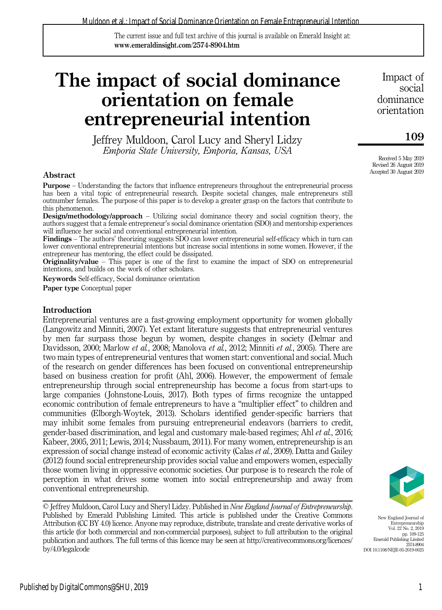The current issue and full text archive of this journal is available on Emerald Insight at: www.emeraldinsight.com/2574-8904.htm

# The impact of social dominance orientation on female entrepreneurial intention

Jeffrey Muldoon, Carol Lucy and Sheryl Lidzy Emporia State University, Emporia, Kansas, USA

#### Abstract

Purpose – Understanding the factors that influence entrepreneurs throughout the entrepreneurial process has been a vital topic of entrepreneurial research. Despite societal changes, male entrepreneurs still outnumber females. The purpose of this paper is to develop a greater grasp on the factors that contribute to this phenomenon.

Design/methodology/approach – Utilizing social dominance theory and social cognition theory, the authors suggest that a female entrepreneur's social dominance orientation (SDO) and mentorship experiences will influence her social and conventional entrepreneurial intention.

Findings – The authors' theorizing suggests SDO can lower entrepreneurial self-efficacy which in turn can lower conventional entrepreneurial intentions but increase social intentions in some women. However, if the entrepreneur has mentoring, the effect could be dissipated.

Originality/value – This paper is one of the first to examine the impact of SDO on entrepreneurial intentions, and builds on the work of other scholars.

Keywords Self-efficacy, Social dominance orientation

Paper type Conceptual paper

#### **Introduction**

Entrepreneurial ventures are a fast-growing employment opportunity for women globally (Langowitz and Minniti, 2007). Yet extant literature suggests that entrepreneurial ventures by men far surpass those begun by women, despite changes in society (Delmar and Davidsson, 2000; Marlow *et al.*, 2008; Manolova *et al.*, 2012; Minniti *et al.*, 2005). There are two main types of entrepreneurial ventures that women start: conventional and social. Much of the research on gender differences has been focused on conventional entrepreneurship based on business creation for profit (Ahl, 2006). However, the empowerment of female entrepreneurship through social entrepreneurship has become a focus from start-ups to large companies ( Johnstone-Louis, 2017). Both types of firms recognize the untapped economic contribution of female entrepreneurs to have a "multiplier effect" to children and communities (Elborgh-Woytek, 2013). Scholars identified gender-specific barriers that may inhibit some females from pursuing entrepreneurial endeavors (barriers to credit, gender-based discrimination, and legal and customary male-based regimes; Ahl et al., 2016; Kabeer, 2005, 2011; Lewis, 2014; Nussbaum, 2011). For many women, entrepreneurship is an expression of social change instead of economic activity (Calas *et al.*, 2009). Datta and Gailey (2012) found social entrepreneurship provides social value and empowers women, especially those women living in oppressive economic societies. Our purpose is to research the role of perception in what drives some women into social entrepreneurship and away from conventional entrepreneurship.

© Jeffrey Muldoon, Carol Lucy and Sheryl Lidzy. Published in New England Journal of Entrepreneurship. Published by Emerald Publishing Limited. This article is published under the Creative Commons Attribution (CC BY 4.0) licence. Anyone may reproduce, distribute, translate and create derivative works of this article (for both commercial and non-commercial purposes), subject to full attribution to the original publication and authors. The full terms of this licence may be seen at [http://creativecommons.org/licences/](http://creativecommons.org/licences/by/4.0/legalcode) [by/4.0/legalcode](http://creativecommons.org/licences/by/4.0/legalcode)

Impact of social dominance orientation

## 109

Received 5 May 2019 Revised 26 August 2019 Accepted 30 August 2019



New England Journal of Entrepreneurship Vol. 22 No. 2, 2019 pp. 109-125 Emerald Publishing Limited 2574-8904 DOI 10.1108/NEJE-05-2019-0025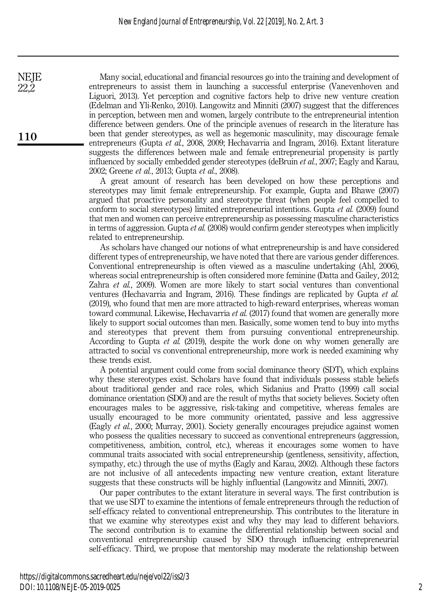Many social, educational and financial resources go into the training and development of entrepreneurs to assist them in launching a successful enterprise (Vanevenhoven and Liguori, 2013). Yet perception and cognitive factors help to drive new venture creation (Edelman and Yli‐Renko, 2010). Langowitz and Minniti (2007) suggest that the differences in perception, between men and women, largely contribute to the entrepreneurial intention difference between genders. One of the principle avenues of research in the literature has been that gender stereotypes, as well as hegemonic masculinity, may discourage female entrepreneurs (Gupta et al., 2008, 2009; Hechavarria and Ingram, 2016). Extant literature suggests the differences between male and female entrepreneurial propensity is partly influenced by socially embedded gender stereotypes (deBruin et al., 2007; Eagly and Karau, 2002; Greene et al., 2013; Gupta et al., 2008).

A great amount of research has been developed on how these perceptions and stereotypes may limit female entrepreneurship. For example, Gupta and Bhawe (2007) argued that proactive personality and stereotype threat (when people feel compelled to conform to social stereotypes) limited entrepreneurial intentions. Gupta et al. (2009) found that men and women can perceive entrepreneurship as possessing masculine characteristics in terms of aggression. Gupta et al. (2008) would confirm gender stereotypes when implicitly related to entrepreneurship.

As scholars have changed our notions of what entrepreneurship is and have considered different types of entrepreneurship, we have noted that there are various gender differences. Conventional entrepreneurship is often viewed as a masculine undertaking (Ahl, 2006), whereas social entrepreneurship is often considered more feminine (Datta and Gailey, 2012; Zahra et al., 2009). Women are more likely to start social ventures than conventional ventures (Hechavarria and Ingram, 2016). These findings are replicated by Gupta et al. (2019), who found that men are more attracted to high-reward enterprises, whereas woman toward communal. Likewise, Hechavarría et al. (2017) found that women are generally more likely to support social outcomes than men. Basically, some women tend to buy into myths and stereotypes that prevent them from pursuing conventional entrepreneurship. According to Gupta et al. (2019), despite the work done on why women generally are attracted to social vs conventional entrepreneurship, more work is needed examining why these trends exist.

A potential argument could come from social dominance theory (SDT), which explains why these stereotypes exist. Scholars have found that individuals possess stable beliefs about traditional gender and race roles, which Sidanius and Pratto (1999) call social dominance orientation (SDO) and are the result of myths that society believes. Society often encourages males to be aggressive, risk-taking and competitive, whereas females are usually encouraged to be more community orientated, passive and less aggressive (Eagly et al., 2000; Murray, 2001). Society generally encourages prejudice against women who possess the qualities necessary to succeed as conventional entrepreneurs (aggression, competitiveness, ambition, control, etc.), whereas it encourages some women to have communal traits associated with social entrepreneurship (gentleness, sensitivity, affection, sympathy, etc.) through the use of myths (Eagly and Karau, 2002). Although these factors are not inclusive of all antecedents impacting new venture creation, extant literature suggests that these constructs will be highly influential (Langowitz and Minniti, 2007).

Our paper contributes to the extant literature in several ways. The first contribution is that we use SDT to examine the intentions of female entrepreneurs through the reduction of self-efficacy related to conventional entrepreneurship. This contributes to the literature in that we examine why stereotypes exist and why they may lead to different behaviors. The second contribution is to examine the differential relationship between social and conventional entrepreneurship caused by SDO through influencing entrepreneurial self-efficacy. Third, we propose that mentorship may moderate the relationship between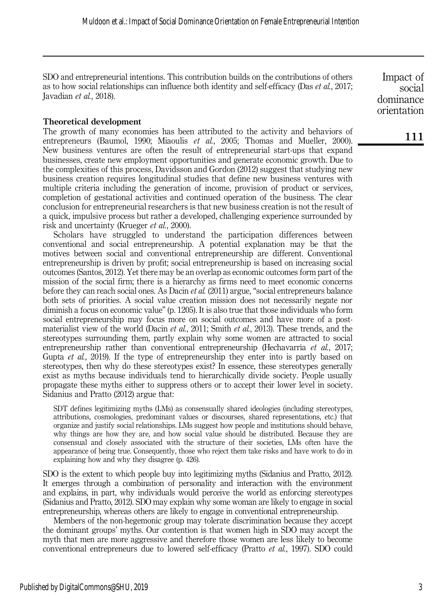SDO and entrepreneurial intentions. This contribution builds on the contributions of others as to how social relationships can influence both identity and self-efficacy (Das et al., 2017; Javadian et al., 2018).

#### Theoretical development

The growth of many economies has been attributed to the activity and behaviors of entrepreneurs (Baumol, 1990; Miaoulis et al., 2005; Thomas and Mueller, 2000). New business ventures are often the result of entrepreneurial start-ups that expand businesses, create new employment opportunities and generate economic growth. Due to the complexities of this process, Davidsson and Gordon (2012) suggest that studying new business creation requires longitudinal studies that define new business ventures with multiple criteria including the generation of income, provision of product or services, completion of gestational activities and continued operation of the business. The clear conclusion for entrepreneurial researchers is that new business creation is not the result of a quick, impulsive process but rather a developed, challenging experience surrounded by risk and uncertainty (Krueger et al., 2000).

Scholars have struggled to understand the participation differences between conventional and social entrepreneurship. A potential explanation may be that the motives between social and conventional entrepreneurship are different. Conventional entrepreneurship is driven by profit; social entrepreneurship is based on increasing social outcomes (Santos, 2012). Yet there may be an overlap as economic outcomes form part of the mission of the social firm; there is a hierarchy as firms need to meet economic concerns before they can reach social ones. As Dacin et al. (2011) argue, "social entrepreneurs balance both sets of priorities. A social value creation mission does not necessarily negate nor diminish a focus on economic value" (p. 1205). It is also true that those individuals who form social entrepreneurship may focus more on social outcomes and have more of a postmaterialist view of the world (Dacin *et al.*, 2011; Smith *et al.*, 2013). These trends, and the stereotypes surrounding them, partly explain why some women are attracted to social entrepreneurship rather than conventional entrepreneurship (Hechavarría *et al.*, 2017; Gupta et al., 2019). If the type of entrepreneurship they enter into is partly based on stereotypes, then why do these stereotypes exist? In essence, these stereotypes generally exist as myths because individuals tend to hierarchically divide society. People usually propagate these myths either to suppress others or to accept their lower level in society. Sidanius and Pratto (2012) argue that:

SDT defines legitimizing myths (LMs) as consensually shared ideologies (including stereotypes, attributions, cosmologies, predominant values or discourses, shared representations, etc.) that organize and justify social relationships. LMs suggest how people and institutions should behave, why things are how they are, and how social value should be distributed. Because they are consensual and closely associated with the structure of their societies, LMs often have the appearance of being true. Consequently, those who reject them take risks and have work to do in explaining how and why they disagree (p. 426).

SDO is the extent to which people buy into legitimizing myths (Sidanius and Pratto, 2012). It emerges through a combination of personality and interaction with the environment and explains, in part, why individuals would perceive the world as enforcing stereotypes (Sidanius and Pratto, 2012). SDO may explain why some woman are likely to engage in social entrepreneurship, whereas others are likely to engage in conventional entrepreneurship.

Members of the non-hegemonic group may tolerate discrimination because they accept the dominant groups' myths. Our contention is that women high in SDO may accept the myth that men are more aggressive and therefore those women are less likely to become conventional entrepreneurs due to lowered self-efficacy (Pratto *et al.*, 1997). SDO could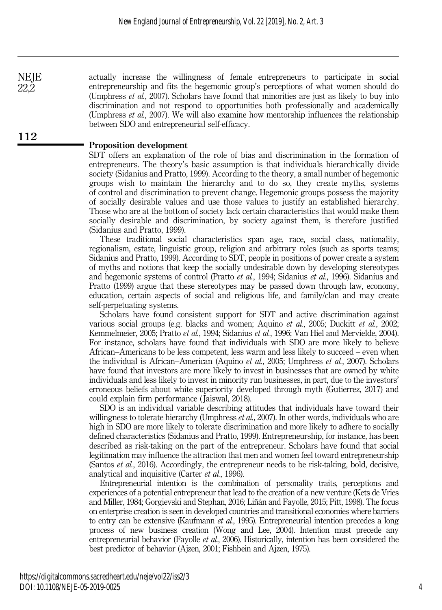actually increase the willingness of female entrepreneurs to participate in social entrepreneurship and fits the hegemonic group's perceptions of what women should do (Umphress et al., 2007). Scholars have found that minorities are just as likely to buy into discrimination and not respond to opportunities both professionally and academically (Umphress  $et \ al.$ , 2007). We will also examine how mentorship influences the relationship between SDO and entrepreneurial self-efficacy.

#### Proposition development

112

**NEJE** 22,2

> SDT offers an explanation of the role of bias and discrimination in the formation of entrepreneurs. The theory's basic assumption is that individuals hierarchically divide society (Sidanius and Pratto, 1999). According to the theory, a small number of hegemonic groups wish to maintain the hierarchy and to do so, they create myths, systems of control and discrimination to prevent change. Hegemonic groups possess the majority of socially desirable values and use those values to justify an established hierarchy. Those who are at the bottom of society lack certain characteristics that would make them socially desirable and discrimination, by society against them, is therefore justified (Sidanius and Pratto, 1999).

> These traditional social characteristics span age, race, social class, nationality, regionalism, estate, linguistic group, religion and arbitrary roles (such as sports teams; Sidanius and Pratto, 1999). According to SDT, people in positions of power create a system of myths and notions that keep the socially undesirable down by developing stereotypes and hegemonic systems of control (Pratto et al., 1994; Sidanius et al., 1996). Sidanius and Pratto (1999) argue that these stereotypes may be passed down through law, economy, education, certain aspects of social and religious life, and family/clan and may create self-perpetuating systems.

> Scholars have found consistent support for SDT and active discrimination against various social groups (e.g. blacks and women; Aquino et al., 2005; Duckitt et al., 2002; Kemmelmeier, 2005; Pratto et al., 1994; Sidanius et al., 1996; Van Hiel and Mervielde, 2004). For instance, scholars have found that individuals with SDO are more likely to believe African–Americans to be less competent, less warm and less likely to succeed – even when the individual is African–American (Aquino et al., 2005; Umphress et al., 2007). Scholars have found that investors are more likely to invest in businesses that are owned by white individuals and less likely to invest in minority run businesses, in part, due to the investors' erroneous beliefs about white superiority developed through myth (Gutierrez, 2017) and could explain firm performance ( Jaiswal, 2018).

> SDO is an individual variable describing attitudes that individuals have toward their willingness to tolerate hierarchy (Umphress et al., 2007). In other words, individuals who are high in SDO are more likely to tolerate discrimination and more likely to adhere to socially defined characteristics (Sidanius and Pratto, 1999). Entrepreneurship, for instance, has been described as risk-taking on the part of the entrepreneur. Scholars have found that social legitimation may influence the attraction that men and women feel toward entrepreneurship (Santos et al., 2016). Accordingly, the entrepreneur needs to be risk-taking, bold, decisive, analytical and inquisitive (Carter et al., 1996).

> Entrepreneurial intention is the combination of personality traits, perceptions and experiences of a potential entrepreneur that lead to the creation of a new venture (Kets de Vries and Miller, 1984; Gorgievski and Stephan, 2016; Liñán and Fayolle, 2015; Pitt, 1998). The focus on enterprise creation is seen in developed countries and transitional economies where barriers to entry can be extensive (Kaufmann *et al.*, 1995). Entrepreneurial intention precedes a long process of new business creation (Wong and Lee, 2004). Intention must precede any entrepreneurial behavior (Fayolle et al., 2006). Historically, intention has been considered the best predictor of behavior (Ajzen, 2001; Fishbein and Ajzen, 1975).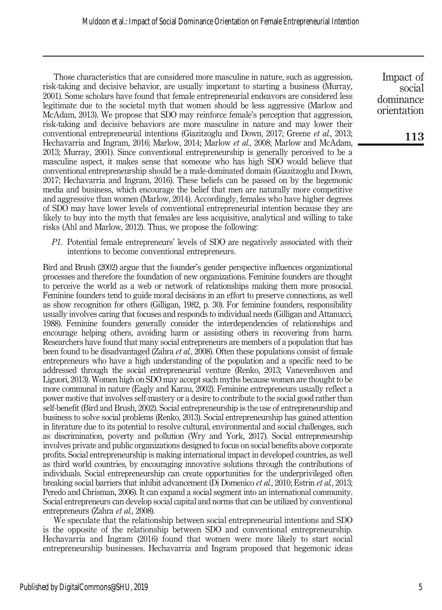Those characteristics that are considered more masculine in nature, such as aggression, risk-taking and decisive behavior, are usually important to starting a business (Murray, 2001). Some scholars have found that female entrepreneurial endeavors are considered less legitimate due to the societal myth that women should be less aggressive (Marlow and McAdam, 2013). We propose that SDO may reinforce female's perception that aggression, risk-taking and decisive behaviors are more masculine in nature and may lower their conventional entrepreneurial intentions (Giazitzoglu and Down, 2017; Greene *et al.*, 2013; Hechavarria and Ingram, 2016; Marlow, 2014; Marlow et al., 2008; Marlow and McAdam, 2013; Murray, 2001). Since conventional entrepreneurship is generally perceived to be a masculine aspect, it makes sense that someone who has high SDO would believe that conventional entrepreneurship should be a male-dominated domain (Giazitzoglu and Down, 2017; Hechavarria and Ingram, 2016). These beliefs can be passed on by the hegemonic media and business, which encourage the belief that men are naturally more competitive and aggressive than women (Marlow, 2014). Accordingly, females who have higher degrees of SDO may have lower levels of conventional entrepreneurial intention because they are likely to buy into the myth that females are less acquisitive, analytical and willing to take risks (Ahl and Marlow, 2012). Thus, we propose the following:

P1. Potential female entrepreneurs' levels of SDO are negatively associated with their intentions to become conventional entrepreneurs.

Bird and Brush (2002) argue that the founder's gender perspective influences organizational processes and therefore the foundation of new organizations. Feminine founders are thought to perceive the world as a web or network of relationships making them more prosocial. Feminine founders tend to guide moral decisions in an effort to preserve connections, as well as show recognition for others (Gilligan, 1982, p. 30). For feminine founders, responsibility usually involves caring that focuses and responds to individual needs (Gilligan and Attanucci, 1988). Feminine founders generally consider the interdependencies of relationships and encourage helping others, avoiding harm or assisting others in recovering from harm. Researchers have found that many social entrepreneurs are members of a population that has been found to be disadvantaged (Zahra *et al.*, 2008). Often these populations consist of female entrepreneurs who have a high understanding of the population and a specific need to be addressed through the social entrepreneurial venture (Renko, 2013; Vanevenhoven and Liguori, 2013). Women high on SDO may accept such myths because women are thought to be more communal in nature (Eagly and Karau, 2002). Feminine entrepreneurs usually reflect a power motive that involves self-mastery or a desire to contribute to the social good rather than self-benefit (Bird and Brush, 2002). Social entrepreneurship is the use of entrepreneurship and business to solve social problems (Renko, 2013). Social entrepreneurship has gained attention in literature due to its potential to resolve cultural, environmental and social challenges, such as discrimination, poverty and pollution (Wry and York, 2017). Social entrepreneurship involves private and public organizations designed to focus on social benefits above corporate profits. Social entrepreneurship is making international impact in developed countries, as well as third world countries, by encouraging innovative solutions through the contributions of individuals. Social entrepreneurship can create opportunities for the underprivileged often breaking social barriers that inhibit advancement (Di Domenico et al., 2010; Estrin et al., 2013; Peredo and Chrisman, 2006). It can expand a social segment into an international community. Social entrepreneurs can develop social capital and norms that can be utilized by conventional entrepreneurs (Zahra et al., 2008).

We speculate that the relationship between social entrepreneurial intentions and SDO is the opposite of the relationship between SDO and conventional entrepreneurship. Hechavarria and Ingram (2016) found that women were more likely to start social entrepreneurship businesses. Hechavarria and Ingram proposed that hegemonic ideas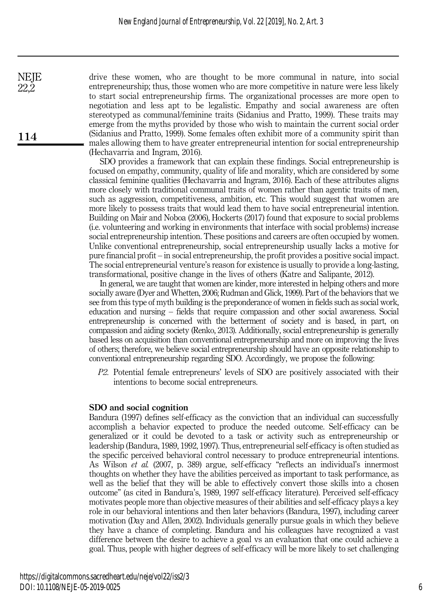drive these women, who are thought to be more communal in nature, into social entrepreneurship; thus, those women who are more competitive in nature were less likely to start social entrepreneurship firms. The organizational processes are more open to negotiation and less apt to be legalistic. Empathy and social awareness are often stereotyped as communal/feminine traits (Sidanius and Pratto, 1999). These traits may emerge from the myths provided by those who wish to maintain the current social order (Sidanius and Pratto, 1999). Some females often exhibit more of a community spirit than males allowing them to have greater entrepreneurial intention for social entrepreneurship (Hechavarria and Ingram, 2016).

SDO provides a framework that can explain these findings. Social entrepreneurship is focused on empathy, community, quality of life and morality, which are considered by some classical feminine qualities (Hechavarria and Ingram, 2016). Each of these attributes aligns more closely with traditional communal traits of women rather than agentic traits of men, such as aggression, competitiveness, ambition, etc. This would suggest that women are more likely to possess traits that would lead them to have social entrepreneurial intention. Building on Mair and Noboa (2006), Hockerts (2017) found that exposure to social problems (i.e. volunteering and working in environments that interface with social problems) increase social entrepreneurship intention. These positions and careers are often occupied by women. Unlike conventional entrepreneurship, social entrepreneurship usually lacks a motive for pure financial profit – in social entrepreneurship, the profit provides a positive social impact. The social entrepreneurial venture's reason for existence is usually to provide a long-lasting, transformational, positive change in the lives of others (Katre and Salipante, 2012).

In general, we are taught that women are kinder, more interested in helping others and more socially aware (Dyer and Whetten, 2006; Rudman and Glick, 1999). Part of the behaviors that we see from this type of myth building is the preponderance of women in fields such as social work, education and nursing – fields that require compassion and other social awareness. Social entrepreneurship is concerned with the betterment of society and is based, in part, on compassion and aiding society (Renko, 2013). Additionally, social entrepreneurship is generally based less on acquisition than conventional entrepreneurship and more on improving the lives of others; therefore, we believe social entrepreneurship should have an opposite relationship to conventional entrepreneurship regarding SDO. Accordingly, we propose the following:

P2. Potential female entrepreneurs' levels of SDO are positively associated with their intentions to become social entrepreneurs.

### SDO and social cognition

Bandura (1997) defines self-efficacy as the conviction that an individual can successfully accomplish a behavior expected to produce the needed outcome. Self-efficacy can be generalized or it could be devoted to a task or activity such as entrepreneurship or leadership (Bandura, 1989, 1992, 1997). Thus, entrepreneurial self-efficacy is often studied as the specific perceived behavioral control necessary to produce entrepreneurial intentions. As Wilson et al. (2007, p. 389) argue, self-efficacy "reflects an individual's innermost thoughts on whether they have the abilities perceived as important to task performance, as well as the belief that they will be able to effectively convert those skills into a chosen outcome" (as cited in Bandura's, 1989, 1997 self-efficacy literature). Perceived self-efficacy motivates people more than objective measures of their abilities and self-efficacy plays a key role in our behavioral intentions and then later behaviors (Bandura, 1997), including career motivation (Day and Allen, 2002). Individuals generally pursue goals in which they believe they have a chance of completing. Bandura and his colleagues have recognized a vast difference between the desire to achieve a goal vs an evaluation that one could achieve a goal. Thus, people with higher degrees of self-efficacy will be more likely to set challenging

114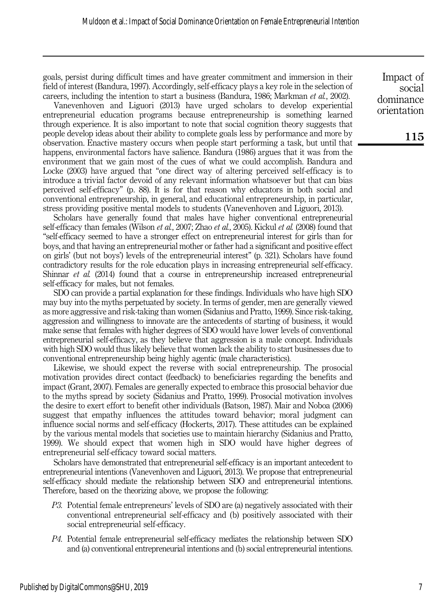goals, persist during difficult times and have greater commitment and immersion in their field of interest (Bandura, 1997). Accordingly, self-efficacy plays a key role in the selection of careers, including the intention to start a business (Bandura, 1986; Markman et al., 2002).

Vanevenhoven and Liguori (2013) have urged scholars to develop experiential entrepreneurial education programs because entrepreneurship is something learned through experience. It is also important to note that social cognition theory suggests that people develop ideas about their ability to complete goals less by performance and more by observation. Enactive mastery occurs when people start performing a task, but until that happens, environmental factors have salience. Bandura (1986) argues that it was from the environment that we gain most of the cues of what we could accomplish. Bandura and Locke (2003) have argued that "one direct way of altering perceived self-efficacy is to introduce a trivial factor devoid of any relevant information whatsoever but that can bias perceived self-efficacy" (p. 88). It is for that reason why educators in both social and conventional entrepreneurship, in general, and educational entrepreneurship, in particular, stress providing positive mental models to students (Vanevenhoven and Liguori, 2013).

Scholars have generally found that males have higher conventional entrepreneurial self-efficacy than females (Wilson et al., 2007; Zhao et al., 2005). Kickul et al. (2008) found that "self-efficacy seemed to have a stronger effect on entrepreneurial interest for girls than for boys, and that having an entrepreneurial mother or father had a significant and positive effect on girls' (but not boys') levels of the entrepreneurial interest" (p. 321). Scholars have found contradictory results for the role education plays in increasing entrepreneurial self-efficacy. Shinnar *et al.* (2014) found that a course in entrepreneurship increased entrepreneurial self-efficacy for males, but not females.

SDO can provide a partial explanation for these findings. Individuals who have high SDO may buy into the myths perpetuated by society. In terms of gender, men are generally viewed as more aggressive and risk-taking than women (Sidanius and Pratto, 1999). Since risk-taking, aggression and willingness to innovate are the antecedents of starting of business, it would make sense that females with higher degrees of SDO would have lower levels of conventional entrepreneurial self-efficacy, as they believe that aggression is a male concept. Individuals with high SDO would thus likely believe that women lack the ability to start businesses due to conventional entrepreneurship being highly agentic (male characteristics).

Likewise, we should expect the reverse with social entrepreneurship. The prosocial motivation provides direct contact (feedback) to beneficiaries regarding the benefits and impact (Grant, 2007). Females are generally expected to embrace this prosocial behavior due to the myths spread by society (Sidanius and Pratto, 1999). Prosocial motivation involves the desire to exert effort to benefit other individuals (Batson, 1987). Mair and Noboa (2006) suggest that empathy influences the attitudes toward behavior; moral judgment can influence social norms and self-efficacy (Hockerts, 2017). These attitudes can be explained by the various mental models that societies use to maintain hierarchy (Sidanius and Pratto, 1999). We should expect that women high in SDO would have higher degrees of entrepreneurial self-efficacy toward social matters.

Scholars have demonstrated that entrepreneurial self-efficacy is an important antecedent to entrepreneurial intentions (Vanevenhoven and Liguori, 2013). We propose that entrepreneurial self-efficacy should mediate the relationship between SDO and entrepreneurial intentions. Therefore, based on the theorizing above, we propose the following:

- P3. Potential female entrepreneurs' levels of SDO are (a) negatively associated with their conventional entrepreneurial self-efficacy and (b) positively associated with their social entrepreneurial self-efficacy.
- P4. Potential female entrepreneurial self-efficacy mediates the relationship between SDO and (a) conventional entrepreneurial intentions and (b) social entrepreneurial intentions.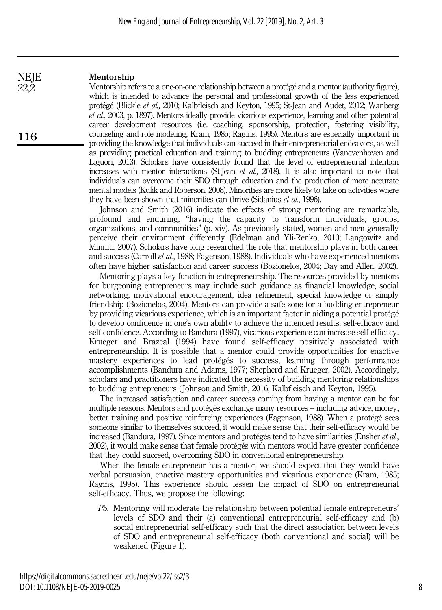#### Mentorship **NEJE**

116

22,2

Mentorship refers to a one-on-one relationship between a protégé and a mentor (authority figure), which is intended to advance the personal and professional growth of the less experienced protégé (Blickle et al., 2010; Kalbfleisch and Keyton, 1995; St-Jean and Audet, 2012; Wanberg et al., 2003, p. 1897). Mentors ideally provide vicarious experience, learning and other potential career development resources (i.e. coaching, sponsorship, protection, fostering visibility, counseling and role modeling; Kram, 1985; Ragins, 1995). Mentors are especially important in providing the knowledge that individuals can succeed in their entrepreneurial endeavors, as well as providing practical education and training to budding entrepreneurs (Vanevenhoven and Liguori, 2013). Scholars have consistently found that the level of entrepreneurial intention increases with mentor interactions (St-Jean et al., 2018). It is also important to note that individuals can overcome their SDO through education and the production of more accurate mental models (Kulik and Roberson, 2008). Minorities are more likely to take on activities where they have been shown that minorities can thrive (Sidanius *et al.*, 1996).

Johnson and Smith (2016) indicate the effects of strong mentoring are remarkable, profound and enduring, "having the capacity to transform individuals, groups, organizations, and communities" (p. xiv). As previously stated, women and men generally perceive their environment differently (Edelman and Yli‐Renko, 2010; Langowitz and Minniti, 2007). Scholars have long researched the role that mentorship plays in both career and success (Carroll et al., 1988; Fagenson, 1988). Individuals who have experienced mentors often have higher satisfaction and career success (Bozionelos, 2004; Day and Allen, 2002).

Mentoring plays a key function in entrepreneurship. The resources provided by mentors for burgeoning entrepreneurs may include such guidance as financial knowledge, social networking, motivational encouragement, idea refinement, special knowledge or simply friendship (Bozionelos, 2004). Mentors can provide a safe zone for a budding entrepreneur by providing vicarious experience, which is an important factor in aiding a potential protégé to develop confidence in one's own ability to achieve the intended results, self-efficacy and self-confidence. According to Bandura (1997), vicarious experience can increase self-efficacy. Krueger and Brazeal (1994) have found self-efficacy positively associated with entrepreneurship. It is possible that a mentor could provide opportunities for enactive mastery experiences to lead protégés to success, learning through performance accomplishments (Bandura and Adams, 1977; Shepherd and Krueger, 2002). Accordingly, scholars and practitioners have indicated the necessity of building mentoring relationships to budding entrepreneurs ( Johnson and Smith, 2016; Kalbfleisch and Keyton, 1995).

The increased satisfaction and career success coming from having a mentor can be for multiple reasons. Mentors and protégés exchange many resources – including advice, money, better training and positive reinforcing experiences (Fagenson, 1988). When a protégé sees someone similar to themselves succeed, it would make sense that their self-efficacy would be increased (Bandura, 1997). Since mentors and protégés tend to have similarities (Ensher *et al.*, 2002), it would make sense that female protégés with mentors would have greater confidence that they could succeed, overcoming SDO in conventional entrepreneurship.

When the female entrepreneur has a mentor, we should expect that they would have verbal persuasion, enactive mastery opportunities and vicarious experience (Kram, 1985; Ragins, 1995). This experience should lessen the impact of SDO on entrepreneurial self-efficacy. Thus, we propose the following:

P5. Mentoring will moderate the relationship between potential female entrepreneurs' levels of SDO and their (a) conventional entrepreneurial self-efficacy and (b) social entrepreneurial self-efficacy such that the direct association between levels of SDO and entrepreneurial self-efficacy (both conventional and social) will be weakened (Figure 1).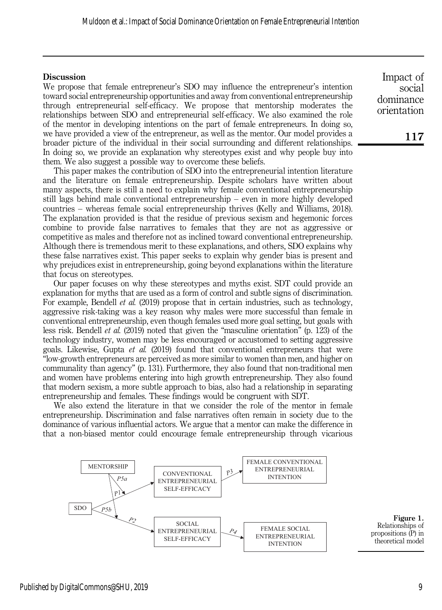#### **Discussion**

We propose that female entrepreneur's SDO may influence the entrepreneur's intention toward social entrepreneurship opportunities and away from conventional entrepreneurship through entrepreneurial self-efficacy. We propose that mentorship moderates the relationships between SDO and entrepreneurial self-efficacy. We also examined the role of the mentor in developing intentions on the part of female entrepreneurs. In doing so, we have provided a view of the entrepreneur, as well as the mentor. Our model provides a broader picture of the individual in their social surrounding and different relationships. In doing so, we provide an explanation why stereotypes exist and why people buy into them. We also suggest a possible way to overcome these beliefs.

This paper makes the contribution of SDO into the entrepreneurial intention literature and the literature on female entrepreneurship. Despite scholars have written about many aspects, there is still a need to explain why female conventional entrepreneurship still lags behind male conventional entrepreneurship – even in more highly developed countries – whereas female social entrepreneurship thrives (Kelly and Williams, 2018). The explanation provided is that the residue of previous sexism and hegemonic forces combine to provide false narratives to females that they are not as aggressive or competitive as males and therefore not as inclined toward conventional entrepreneurship. Although there is tremendous merit to these explanations, and others, SDO explains why these false narratives exist. This paper seeks to explain why gender bias is present and why prejudices exist in entrepreneurship, going beyond explanations within the literature that focus on stereotypes.

Our paper focuses on why these stereotypes and myths exist. SDT could provide an explanation for myths that are used as a form of control and subtle signs of discrimination. For example, Bendell *et al.* (2019) propose that in certain industries, such as technology, aggressive risk-taking was a key reason why males were more successful than female in conventional entrepreneurship, even though females used more goal setting, but goals with less risk. Bendell et al. (2019) noted that given the "masculine orientation" (p. 123) of the technology industry, women may be less encouraged or accustomed to setting aggressive goals. Likewise, Gupta et al. (2019) found that conventional entrepreneurs that were "low-growth entrepreneurs are perceived as more similar to women than men, and higher on communality than agency" (p. 131). Furthermore, they also found that non-traditional men and women have problems entering into high growth entrepreneurship. They also found that modern sexism, a more subtle approach to bias, also had a relationship in separating entrepreneurship and females. These findings would be congruent with SDT.

We also extend the literature in that we consider the role of the mentor in female entrepreneurship. Discrimination and false narratives often remain in society due to the dominance of various influential actors. We argue that a mentor can make the difference in that a non-biased mentor could encourage female entrepreneurship through vicarious



Relationships of propositions (P) in theoretical model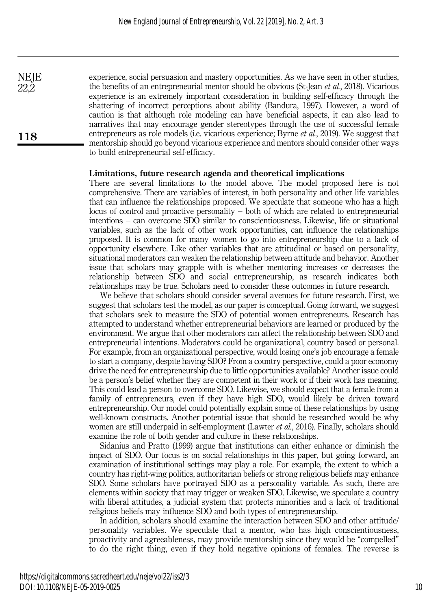experience, social persuasion and mastery opportunities. As we have seen in other studies, the benefits of an entrepreneurial mentor should be obvious (St-Jean *et al.*, 2018). Vicarious experience is an extremely important consideration in building self-efficacy through the shattering of incorrect perceptions about ability (Bandura, 1997). However, a word of caution is that although role modeling can have beneficial aspects, it can also lead to narratives that may encourage gender stereotypes through the use of successful female entrepreneurs as role models (i.e. vicarious experience; Byrne *et al.*, 2019). We suggest that mentorship should go beyond vicarious experience and mentors should consider other ways to build entrepreneurial self-efficacy.

#### Limitations, future research agenda and theoretical implications

There are several limitations to the model above. The model proposed here is not comprehensive. There are variables of interest, in both personality and other life variables that can influence the relationships proposed. We speculate that someone who has a high locus of control and proactive personality – both of which are related to entrepreneurial intentions – can overcome SDO similar to conscientiousness. Likewise, life or situational variables, such as the lack of other work opportunities, can influence the relationships proposed. It is common for many women to go into entrepreneurship due to a lack of opportunity elsewhere. Like other variables that are attitudinal or based on personality, situational moderators can weaken the relationship between attitude and behavior. Another issue that scholars may grapple with is whether mentoring increases or decreases the relationship between SDO and social entrepreneurship, as research indicates both relationships may be true. Scholars need to consider these outcomes in future research.

We believe that scholars should consider several avenues for future research. First, we suggest that scholars test the model, as our paper is conceptual. Going forward, we suggest that scholars seek to measure the SDO of potential women entrepreneurs. Research has attempted to understand whether entrepreneurial behaviors are learned or produced by the environment. We argue that other moderators can affect the relationship between SDO and entrepreneurial intentions. Moderators could be organizational, country based or personal. For example, from an organizational perspective, would losing one's job encourage a female to start a company, despite having SDO? From a country perspective, could a poor economy drive the need for entrepreneurship due to little opportunities available? Another issue could be a person's belief whether they are competent in their work or if their work has meaning. This could lead a person to overcome SDO. Likewise, we should expect that a female from a family of entrepreneurs, even if they have high SDO, would likely be driven toward entrepreneurship. Our model could potentially explain some of these relationships by using well-known constructs. Another potential issue that should be researched would be why women are still underpaid in self-employment (Lawter *et al.*, 2016). Finally, scholars should examine the role of both gender and culture in these relationships.

Sidanius and Pratto (1999) argue that institutions can either enhance or diminish the impact of SDO. Our focus is on social relationships in this paper, but going forward, an examination of institutional settings may play a role. For example, the extent to which a country has right-wing politics, authoritarian beliefs or strong religious beliefs may enhance SDO. Some scholars have portrayed SDO as a personality variable. As such, there are elements within society that may trigger or weaken SDO. Likewise, we speculate a country with liberal attitudes, a judicial system that protects minorities and a lack of traditional religious beliefs may influence SDO and both types of entrepreneurship.

In addition, scholars should examine the interaction between SDO and other attitude/ personality variables. We speculate that a mentor, who has high conscientiousness, proactivity and agreeableness, may provide mentorship since they would be "compelled" to do the right thing, even if they hold negative opinions of females. The reverse is

118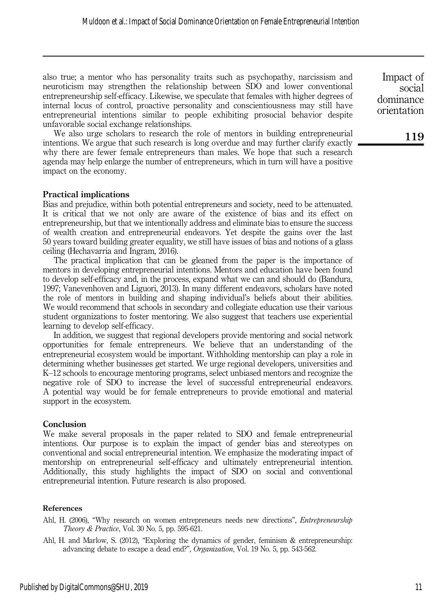also true; a mentor who has personality traits such as psychopathy, narcissism and neuroticism may strengthen the relationship between SDO and lower conventional entrepreneurship self-efficacy. Likewise, we speculate that females with higher degrees of internal locus of control, proactive personality and conscientiousness may still have entrepreneurial intentions similar to people exhibiting prosocial behavior despite unfavorable social exchange relationships.

We also urge scholars to research the role of mentors in building entrepreneurial intentions. We argue that such research is long overdue and may further clarify exactly why there are fewer female entrepreneurs than males. We hope that such a research agenda may help enlarge the number of entrepreneurs, which in turn will have a positive impact on the economy.

#### Practical implications

Bias and prejudice, within both potential entrepreneurs and society, need to be attenuated. It is critical that we not only are aware of the existence of bias and its effect on entrepreneurship, but that we intentionally address and eliminate bias to ensure the success of wealth creation and entrepreneurial endeavors. Yet despite the gains over the last 50 years toward building greater equality, we still have issues of bias and notions of a glass ceiling (Hechavarria and Ingram, 2016).

The practical implication that can be gleaned from the paper is the importance of mentors in developing entrepreneurial intentions. Mentors and education have been found to develop self-efficacy and, in the process, expand what we can and should do (Bandura, 1997; Vanevenhoven and Liguori, 2013). In many different endeavors, scholars have noted the role of mentors in building and shaping individual's beliefs about their abilities. We would recommend that schools in secondary and collegiate education use their various student organizations to foster mentoring. We also suggest that teachers use experiential learning to develop self-efficacy.

In addition, we suggest that regional developers provide mentoring and social network opportunities for female entrepreneurs. We believe that an understanding of the entrepreneurial ecosystem would be important. Withholding mentorship can play a role in determining whether businesses get started. We urge regional developers, universities and K–12 schools to encourage mentoring programs, select unbiased mentors and recognize the negative role of SDO to increase the level of successful entrepreneurial endeavors. A potential way would be for female entrepreneurs to provide emotional and material support in the ecosystem.

#### **Conclusion**

We make several proposals in the paper related to SDO and female entrepreneurial intentions. Our purpose is to explain the impact of gender bias and stereotypes on conventional and social entrepreneurial intention. We emphasize the moderating impact of mentorship on entrepreneurial self-efficacy and ultimately entrepreneurial intention. Additionally, this study highlights the impact of SDO on social and conventional entrepreneurial intention. Future research is also proposed.

#### References

- Ahl, H. (2006), "Why research on women entrepreneurs needs new directions", *Entrepreneurship* Theory & Practice, Vol. 30 No. 5, pp. 595-621.
- Ahl, H. and Marlow, S. (2012), "Exploring the dynamics of gender, feminism & entrepreneurship: advancing debate to escape a dead end?", Organization, Vol. 19 No. 5, pp. 543-562.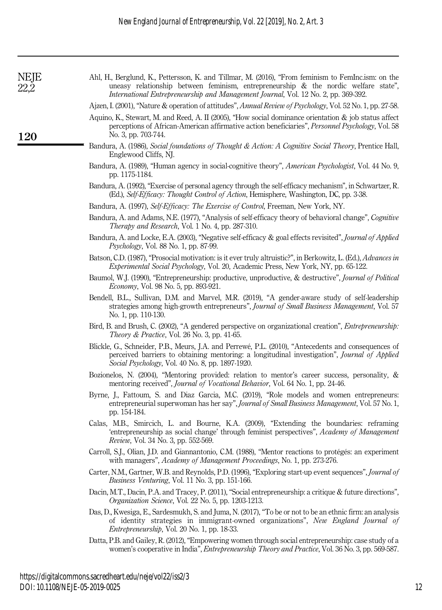| ď, |
|----|
| t. |

120

| Ahl, H., Berglund, K., Pettersson, K. and Tillmar, M. (2016), "From feminism to Feminc.ism: on the |  |
|----------------------------------------------------------------------------------------------------|--|
| uneasy relationship between feminism, entrepreneurship $\&$ the nordic welfare state"              |  |
| <i>International Entrepreneurship and Management Journal, Vol. 12 No. 2, pp. 369-392.</i>          |  |

Ajzen, I. (2001), "Nature & operation of attitudes", Annual Review of Psychology, Vol. 52 No. 1, pp. 27-58.

- Aquino, K., Stewart, M. and Reed, A. II (2005), "How social dominance orientation & job status affect perceptions of African-American affirmative action beneficiaries", Personnel Psychology, Vol. 58 No. 3, pp. 703-744.
- Bandura, A. (1986), Social foundations of Thought & Action: A Cognitive Social Theory, Prentice Hall, Englewood Cliffs, NJ.
- Bandura, A. (1989), "Human agency in social-cognitive theory", American Psychologist, Vol. 44 No. 9, pp. 1175-1184.
- Bandura, A. (1992), "Exercise of personal agency through the self-efficacy mechanism", in Schwartzer, R. (Ed.), Self-Efficacy: Thought Control of Action, Hemisphere, Washington, DC, pp. 3-38.
- Bandura, A. (1997), Self-Efficacy: The Exercise of Control, Freeman, New York, NY.
- Bandura, A. and Adams, N.E. (1977), "Analysis of self-efficacy theory of behavioral change", Cognitive Therapy and Research, Vol. 1 No. 4, pp. 287-310.
- Bandura, A. and Locke, E.A. (2003), "Negative self-efficacy & goal effects revisited", Journal of Applied Psychology, Vol. 88 No. 1, pp. 87-99.
- Batson, C.D. (1987), "Prosocial motivation: is it ever truly altruistic?", in Berkowitz, L. (Ed.), Advances in Experimental Social Psychology, Vol. 20, Academic Press, New York, NY, pp. 65-122.
- Baumol, W.J. (1990), "Entrepreneurship: productive, unproductive, & destructive", Journal of Political Economy, Vol. 98 No. 5, pp. 893-921.
- Bendell, B.L., Sullivan, D.M. and Marvel, M.R. (2019), "A gender-aware study of self-leadership strategies among high-growth entrepreneurs", *Journal of Small Business Management*, Vol. 57 No. 1, pp. 110-130.
- Bird, B. and Brush, C. (2002), "A gendered perspective on organizational creation", Entrepreneurship: Theory & Practice, Vol. 26 No. 3, pp. 41-65.
- Blickle, G., Schneider, P.B., Meurs, J.A. and Perrewé, P.L. (2010), "Antecedents and consequences of perceived barriers to obtaining mentoring: a longitudinal investigation", Journal of Applied Social Psychology, Vol. 40 No. 8, pp. 1897-1920.
- Bozionelos, N. (2004), "Mentoring provided: relation to mentor's career success, personality, & mentoring received", Journal of Vocational Behavior, Vol. 64 No. 1, pp. 24-46.
- Byrne, J., Fattoum, S. and Diaz Garcia, M.C. (2019), "Role models and women entrepreneurs: entrepreneurial superwoman has her say", Journal of Small Business Management, Vol. 57 No. 1, pp. 154-184.
- Calas, M.B., Smircich, L. and Bourne, K.A. (2009), "Extending the boundaries: reframing 'entrepreneurship as social change' through feminist perspectives", Academy of Management Review, Vol. 34 No. 3, pp. 552-569.
- Carroll, S.J., Olian, J.D. and Giannantonio, C.M. (1988), "Mentor reactions to protégés: an experiment with managers", Academy of Management Proceedings, No. 1, pp. 273-276.
- Carter, N.M., Gartner, W.B. and Reynolds, P.D. (1996), "Exploring start-up event sequences", Journal of Business Venturing, Vol. 11 No. 3, pp. 151-166.
- Dacin, M.T., Dacin, P.A. and Tracey, P. (2011), "Social entrepreneurship: a critique & future directions", Organization Science, Vol. 22 No. 5, pp. 1203-1213.
- Das, D., Kwesiga, E., Sardesmukh, S. and Juma, N. (2017), "To be or not to be an ethnic firm: an analysis of identity strategies in immigrant-owned organizations", New England Journal of Entrepreneurship, Vol. 20 No. 1, pp. 18-33.
- Datta, P.B. and Gailey, R. (2012), "Empowering women through social entrepreneurship: case study of a women's cooperative in India", Entrepreneurship Theory and Practice, Vol. 36 No. 3, pp. 569-587.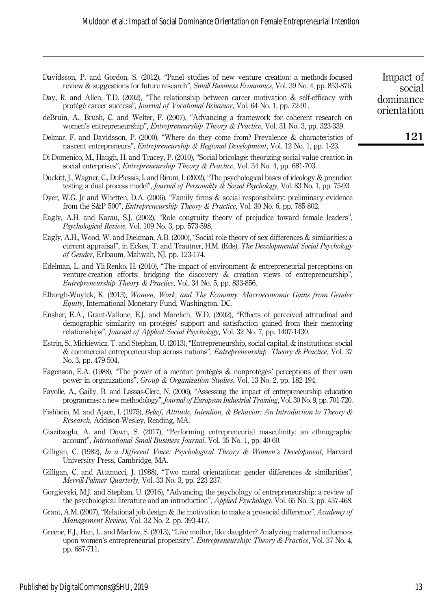Davidsson, P. and Gordon, S. (2012), "Panel studies of new venture creation: a methods-focused review & suggestions for future research", Small Business Economics, Vol. 39 No. 4, pp. 853-876.

| dominance<br>orientation | Day, R. and Allen, T.D. (2002), "The relationship between career motivation $\&$ self-efficacy with<br>protégé career success", Journal of Vocational Behavior, Vol. 64 No. 1, pp. 72-91.                                                                                                     |  |
|--------------------------|-----------------------------------------------------------------------------------------------------------------------------------------------------------------------------------------------------------------------------------------------------------------------------------------------|--|
|                          | deBruin, A., Brush, C. and Welter, F. (2007), "Advancing a framework for coherent research on<br>women's entrepreneurship", <i>Entrepreneurship Theory &amp; Practice</i> , Vol. 31 No. 3, pp. 323-339.                                                                                       |  |
| 121                      | Delmar, F. and Davidsson, P. (2000), "Where do they come from? Prevalence & characteristics of<br>nascent entrepreneurs", <i>Entrepreneurship &amp; Regional Development</i> , Vol. 12 No. 1, pp. 1-23.                                                                                       |  |
|                          | Di Domenico, M., Haugh, H. and Tracey, P. (2010), "Social bricolage: theorizing social value creation in<br>social enterprises", <i>Entrepreneurship Theory &amp; Practice</i> , Vol. 34 No. 4, pp. 681-703.                                                                                  |  |
|                          | Duckitt, J., Wagner, C., DuPlessis, I. and Birum, I. (2002), "The psychological bases of ideology & prejudice:<br>testing a dual process model", Journal of Personality & Social Psychology, Vol. 83 No. 1, pp. 75-93.                                                                        |  |
|                          | Dyer, W.G. Jr and Whetten, D.A. (2006), "Family firms & social responsibility: preliminary evidence<br>from the S&P 500", Entrepreneurship Theory & Practice, Vol. 30 No. 6, pp. 785-802.                                                                                                     |  |
|                          | Eagly, A.H. and Karau, S.J. (2002), "Role congruity theory of prejudice toward female leaders",<br><i>Psychological Review, Vol. 109 No. 3, pp. 573-598.</i>                                                                                                                                  |  |
|                          | Eagly, A.H., Wood, W. and Diekman, A.B. (2000), "Social role theory of sex differences & similarities: a<br>current appraisal", in Eckes, T. and Trautner, H.M. (Eds), The Developmental Social Psychology<br>of Gender, Erlbaum, Mahwah, NJ, pp. 123-174.                                    |  |
|                          | Edelman, L. and Yli-Renko, H. (2010), "The impact of environment $\&$ entrepreneurial perceptions on<br>venture-creation efforts: bridging the discovery & creation views of entrepreneurship",<br>Entrepreneurship Theory & Practice, Vol. 34 No. 5, pp. 833-856.                            |  |
|                          | Elborgh-Woytek, K. (2013), Women, Work, and The Economy: Macroeconomic Gains from Gender<br><i>Equity</i> , International Monetary Fund, Washington, DC.                                                                                                                                      |  |
|                          | Ensher, E.A., Grant-Vallone, E.J. and Marelich, W.D. (2002), "Effects of perceived attitudinal and<br>demographic similarity on protégés' support and satisfaction gained from their mentoring<br>relationships", <i>Journal of Applied Social Psychology</i> , Vol. 32 No. 7, pp. 1407-1430. |  |
|                          | Estrin, S., Mickiewicz, T. and Stephan, U. (2013), "Entrepreneurship, social capital, & institutions: social<br>& commercial entrepreneurship across nations", Entrepreneurship: Theory & Practice, Vol. 37<br>No. 3, pp. 479-504.                                                            |  |
|                          | Fagenson, E.A. (1988), "The power of a mentor: protégés & nonprotégés' perceptions of their own<br>power in organizations", Group & Organization Studies, Vol. 13 No. 2, pp. 182-194.                                                                                                         |  |
|                          | Fayolle, A., Gailly, B. and Lassas-Clerc, N. (2006), "Assessing the impact of entrepreneurship education<br>programmes: a new methodology", Journal of European Industrial Training, Vol. 30 No. 9, pp. 701-720.                                                                              |  |
|                          | Fishbein, M. and Ajzen, I. (1975), Belief, Attitude, Intention, & Behavior: An Introduction to Theory &<br>Research, Addison-Wesley, Reading, MA.                                                                                                                                             |  |
|                          | Giazitzoglu, A. and Down, S. (2017), "Performing entrepreneurial masculinity: an ethnographic<br>account", International Small Business Journal, Vol. 35 No. 1, pp. 40-60.                                                                                                                    |  |
|                          | Gilligan, C. (1982), In a Different Voice: Psychological Theory & Women's Development, Harvard<br>University Press, Cambridge, MA.                                                                                                                                                            |  |
|                          | Gilligan, C. and Attanucci, J. (1988), "Two moral orientations: gender differences & similarities",<br>Merrill-Palmer Quarterly, Vol. 33 No. 3, pp. 223-237.                                                                                                                                  |  |
|                          | Gorgievski, M.J. and Stephan, U. (2016), "Advancing the psychology of entrepreneurship: a review of<br>the psychological literature and an introduction", Applied Psychology, Vol. 65 No. 3, pp. 437-468.                                                                                     |  |
|                          | Grant, A.M. (2007), "Relational job design & the motivation to make a prosocial difference", Academy of<br>Management Review, Vol. 32 No. 2, pp. 393-417.                                                                                                                                     |  |
|                          |                                                                                                                                                                                                                                                                                               |  |

Greene, F.J., Han, L. and Marlow, S. (2013), "Like mother, like daughter? Analyzing maternal influences upon women's entrepreneurial propensity", Entrepreneurship: Theory & Practice, Vol. 37 No. 4, pp. 687-711.

social  $\mathbf{d}$  dominance  $\mathbf{d}$ 

Impact of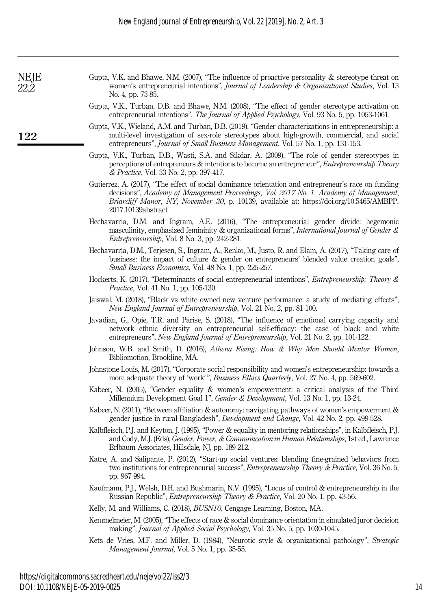No. 4, pp. 73-85.

Gupta, V.K. and Bhawe, N.M. (2007), "The influence of proactive personality & stereotype threat on women's entrepreneurial intentions", *Journal of Leadership & Organizational Studies*, Vol. 13

Gupta, V.K., Turban, D.B. and Bhawe, N.M. (2008), "The effect of gender stereotype activation on entrepreneurial intentions", The Journal of Applied Psychology, Vol. 93 No. 5, pp. 1053-1061. Gupta, V.K., Wieland, A.M. and Turban, D.B. (2019), "Gender characterizations in entrepreneurship: a multi-level investigation of sex-role stereotypes about high-growth, commercial, and social entrepreneurs", Journal of Small Business Management, Vol. 57 No. 1, pp. 131-153. Gupta, V.K., Turban, D.B., Wasti, S.A. and Sikdar, A. (2009), "The role of gender stereotypes in perceptions of entrepreneurs & intentions to become an entrepreneur", Entrepreneurship Theory & Practice, Vol. 33 No. 2, pp. 397-417. Gutierrez, A. (2017), "The effect of social dominance orientation and entrepreneur's race on funding decisions", Academy of Management Proceedings, Vol. 2017 No. 1, Academy of Management, Briarcliff Manor, NY, November 30, p. 10139, available at: [https://doi.org/10.5465/AMBPP.](https://doi.org/10.5465/AMBPP.2017.10139abstract) [2017.10139abstract](https://doi.org/10.5465/AMBPP.2017.10139abstract) Hechavarria, D.M. and Ingram, A.E. (2016), "The entrepreneurial gender divide: hegemonic masculinity, emphasized femininity  $\&$  organizational forms", *International Journal of Gender*  $\&$ Entrepreneurship, Vol. 8 No. 3, pp. 242-281. Hechavarría, D.M., Terjesen, S., Ingram, A., Renko, M., Justo, R. and Elam, A. (2017), "Taking care of business: the impact of culture & gender on entrepreneurs' blended value creation goals", Small Business Economics, Vol. 48 No. 1, pp. 225-257. Hockerts, K. (2017), "Determinants of social entrepreneurial intentions", Entrepreneurship: Theory & Practice, Vol. 41 No. 1, pp. 105-130. Jaiswal, M. (2018), "Black vs white owned new venture performance: a study of mediating effects", New England Journal of Entrepreneurship, Vol. 21 No. 2, pp. 81-100. Javadian, G., Opie, T.R. and Parise, S. (2018), "The influence of emotional carrying capacity and network ethnic diversity on entrepreneurial self-efficacy: the case of black and white entrepreneurs", New England Journal of Entrepreneurship, Vol. 21 No. 2, pp. 101-122. Johnson, W.B. and Smith, D. (2016), Athena Rising: How & Why Men Should Mentor Women, Bibliomotion, Brookline, MA. Johnstone-Louis, M. (2017), "Corporate social responsibility and women's entrepreneurship: towards a

- more adequate theory of 'work' ", Business Ethics Quarterly, Vol. 27 No. 4, pp. 569-602.
- Kabeer, N. (2005), "Gender equality & women's empowerment: a critical analysis of the Third Millennium Development Goal 1", Gender & Development, Vol. 13 No. 1, pp. 13-24.
- Kabeer, N. (2011), "Between affiliation  $\&$  autonomy: navigating pathways of women's empowerment  $\&$ gender justice in rural Bangladesh", Development and Change, Vol. 42 No. 2, pp. 499-528.
- Kalbfleisch, P.J. and Keyton, J. (1995), "Power & equality in mentoring relationships", in Kalbfleisch, P.J. and Cody, M.J. (Eds), Gender, Power, & Communication in Human Relationships, 1st ed., Lawrence Erlbaum Associates, Hillsdale, NJ, pp. 189-212.
- Katre, A. and Salipante, P. (2012), "Start-up social ventures: blending fine-grained behaviors from two institutions for entrepreneurial success", Entrepreneurship Theory & Practice, Vol. 36 No. 5, pp. 967-994.
- Kaufmann, P.J., Welsh, D.H. and Bushmarin, N.V. (1995), "Locus of control & entrepreneurship in the Russian Republic", Entrepreneurship Theory & Practice, Vol. 20 No. 1, pp. 43-56.
- Kelly, M. and Williams, C. (2018), BUSN10, Cengage Learning, Boston, MA.
- Kemmelmeier, M. (2005), "The effects of race & social dominance orientation in simulated juror decision making", Journal of Applied Social Psychology, Vol. 35 No. 5, pp. 1030-1045.
- Kets de Vries, M.F. and Miller, D. (1984), "Neurotic style & organizational pathology", Strategic Management Journal, Vol. 5 No. 1, pp. 35-55.

14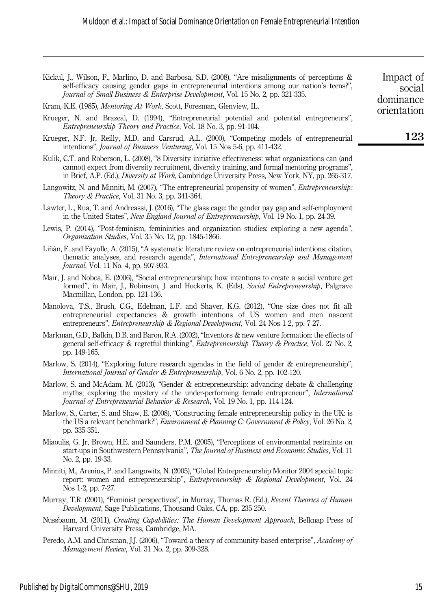Kickul, J., Wilson, F., Marlino, D. and Barbosa, S.D. (2008), "Are misalignments of perceptions & self-efficacy causing gender gaps in entrepreneurial intentions among our nation's teens?", Journal of Small Business & Enterprise Development, Vol. 15 No. 2, pp. 321-335. Kram, K.E. (1985), Mentoring At Work, Scott, Foresman, Glenview, IL. Krueger, N. and Brazeal, D. (1994), "Entrepreneurial potential and potential entrepreneurs", Entrepreneurship Theory and Practice, Vol. 18 No. 3, pp. 91-104. Krueger, N.F. Jr, Reilly, M.D. and Carsrud, A.L. (2000), "Competing models of entrepreneurial intentions", Journal of Business Venturing, Vol. 15 Nos 5‐6, pp. 411-432. Kulik, C.T. and Roberson, L. (2008), "8 Diversity initiative effectiveness: what organizations can (and cannot) expect from diversity recruitment, diversity training, and formal mentoring programs", in Brief, A.P. (Ed.), *Diversity at Work*, Cambridge University Press, New York, NY, pp. 265-317. Langowitz, N. and Minniti, M. (2007), "The entrepreneurial propensity of women", Entrepreneurship: Theory & Practice, Vol. 31 No. 3, pp. 341-364. Lawter, L., Rua, T. and Andreassi, J. (2016), "The glass cage: the gender pay gap and self-employment in the United States", New England Journal of Entrepreneurship, Vol. 19 No. 1, pp. 24-39. Lewis, P. (2014), "Post-feminism, femininities and organization studies: exploring a new agenda", Organization Studies, Vol. 35 No. 12, pp. 1845-1866. Liñán, F. and Fayolle, A. (2015), "A systematic literature review on entrepreneurial intentions: citation, thematic analyses, and research agenda", International Entrepreneurship and Management Journal, Vol. 11 No. 4, pp. 907-933. Mair, J. and Noboa, E. (2006), "Social entrepreneurship: how intentions to create a social venture get formed", in Mair, J., Robinson, J. and Hockerts, K. (Eds), Social Entrepreneurship, Palgrave Macmillan, London, pp. 121-136. Manolova, T.S., Brush, C.G., Edelman, L.F. and Shaver, K.G. (2012), "One size does not fit all: entrepreneurial expectancies & growth intentions of US women and men nascent entrepreneurs", *Entrepreneurship & Regional Development*, Vol. 24 Nos 1-2, pp. 7-27. Markman, G.D., Balkin, D.B. and Baron, R.A. (2002), "Inventors & new venture formation: the effects of general self-efficacy & regretful thinking", Entrepreneurship Theory & Practice, Vol. 27 No. 2, pp. 149-165. Marlow, S. (2014), "Exploring future research agendas in the field of gender & entrepreneurship", International Journal of Gender & Entrepreneurship, Vol. 6 No. 2, pp. 102-120. Marlow, S. and McAdam, M. (2013), "Gender & entrepreneurship: advancing debate & challenging myths; exploring the mystery of the under-performing female entrepreneur", International Journal of Entrepreneurial Behavior & Research, Vol. 19 No. 1, pp. 114-124. Marlow, S., Carter, S. and Shaw, E. (2008), "Constructing female entrepreneurship policy in the UK: is the US a relevant benchmark?", Environment & Planning C: Government & Policy, Vol. 26 No. 2, pp. 335-351. Miaoulis, G. Jr, Brown, H.E. and Saunders, P.M. (2005), "Perceptions of environmental restraints on start-ups in Southwestern Pennsylvania", The Journal of Business and Economic Studies, Vol. 11 No. 2, pp. 19-33. Minniti, M., Arenius, P. and Langowitz, N. (2005), "Global Entrepreneurship Monitor 2004 special topic report: women and entrepreneurship", *Entrepreneurship & Regional Development*, Vol. 24 Nos 1-2, pp. 7-27. Murray, T.R. (2001), "Feminist perspectives", in Murray, Thomas R. (Ed.), *Recent Theories of Human* Development, Sage Publications, Thousand Oaks, CA, pp. 235-250. Nussbaum, M. (2011), Creating Capabilities: The Human Development Approach, Belknap Press of Harvard University Press, Cambridge, MA. 123 Impact of social dominance orientation

Peredo, A.M. and Chrisman, J.J. (2006), "Toward a theory of community-based enterprise", Academy of Management Review, Vol. 31 No. 2, pp. 309-328.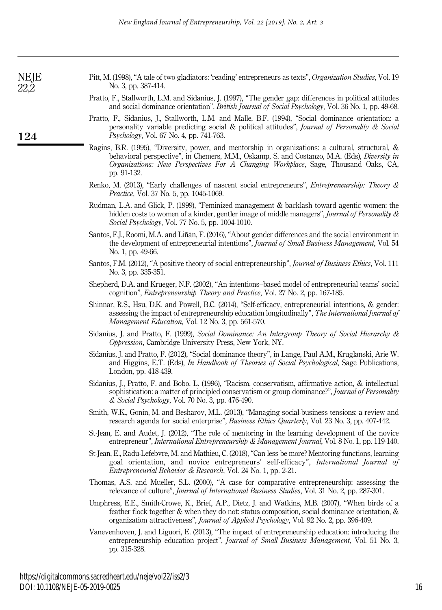| Pratto, F., Stallworth, L.M. and Sidanius, J. (1997), "The gender gap: differences in political attitudes<br>and social dominance orientation", <i>British Journal of Social Psychology</i> , Vol. 36 No. 1, pp. 49-68.                                                                                                  |
|--------------------------------------------------------------------------------------------------------------------------------------------------------------------------------------------------------------------------------------------------------------------------------------------------------------------------|
| Pratto, F., Sidanius, J., Stallworth, L.M. and Malle, B.F. (1994), "Social dominance orientation: a<br>personality variable predicting social & political attitudes", <i>Journal of Personality &amp; Social</i><br><i>Psychology</i> , Vol. 67 No. 4, pp. 741-763.                                                      |
| Ragins, B.R. (1995), "Diversity, power, and mentorship in organizations: a cultural, structural, $\&$<br>behavioral perspective", in Chemers, M.M., Oskamp, S. and Costanzo, M.A. (Eds), <i>Diversity in</i><br><i>Organizations: New Perspectives For A Changing Workplace, Sage, Thousand Oaks, CA,</i><br>pp. 91-132. |

No. 3, pp. 387-414.

Renko, M. (2013), "Early challenges of nascent social entrepreneurs", Entrepreneurship: Theory & Practice, Vol. 37 No. 5, pp. 1045-1069.

Pitt, M. (1998), "A tale of two gladiators: 'reading' entrepreneurs as texts", Organization Studies, Vol. 19

- Rudman, L.A. and Glick, P. (1999), "Feminized management & backlash toward agentic women: the hidden costs to women of a kinder, gentler image of middle managers", *Journal of Personality &* Social Psychology, Vol. 77 No. 5, pp. 1004-1010.
- Santos, F.J., Roomi, M.A. and Liñán, F. (2016), "About gender differences and the social environment in the development of entrepreneurial intentions", *Journal of Small Business Management*, Vol. 54 No. 1, pp. 49-66.
- Santos, F.M. (2012), "A positive theory of social entrepreneurship", Journal of Business Ethics, Vol. 111 No. 3, pp. 335-351.
- Shepherd, D.A. and Krueger, N.F. (2002), "An intentions–based model of entrepreneurial teams' social cognition", Entrepreneurship Theory and Practice, Vol. 27 No. 2, pp. 167-185.
- Shinnar, R.S., Hsu, D.K. and Powell, B.C. (2014), "Self-efficacy, entrepreneurial intentions, & gender: assessing the impact of entrepreneurship education longitudinally", The International Journal of Management Education, Vol. 12 No. 3, pp. 561-570.
- Sidanius, J. and Pratto, F. (1999), Social Dominance: An Intergroup Theory of Social Hierarchy & Oppression, Cambridge University Press, New York, NY.
- Sidanius, J. and Pratto, F. (2012), "Social dominance theory", in Lange, Paul A.M., Kruglanski, Arie W. and Higgins, E.T. (Eds), In Handbook of Theories of Social Psychological, Sage Publications, London, pp. 418-439.
- Sidanius, J., Pratto, F. and Bobo, L. (1996), "Racism, conservatism, affirmative action, & intellectual sophistication: a matter of principled conservatism or group dominance?", Journal of Personality & Social Psychology, Vol. 70 No. 3, pp. 476-490.
- Smith, W.K., Gonin, M. and Besharov, M.L. (2013), "Managing social-business tensions: a review and research agenda for social enterprise", Business Ethics Quarterly, Vol. 23 No. 3, pp. 407-442.
- St-Jean, E. and Audet, J. (2012), "The role of mentoring in the learning development of the novice entrepreneur", *International Entrepreneurship & Management Journal*, Vol. 8 No. 1, pp. 119-140.
- St-Jean, E., Radu-Lefebvre, M. and Mathieu, C. (2018), "Can less be more? Mentoring functions, learning goal orientation, and novice entrepreneurs' self-efficacy", International Journal of Entrepreneurial Behavior & Research, Vol. 24 No. 1, pp. 2-21.
- Thomas, A.S. and Mueller, S.L. (2000), "A case for comparative entrepreneurship: assessing the relevance of culture", Journal of International Business Studies, Vol. 31 No. 2, pp. 287-301.
- Umphress, E.E., Smith-Crowe, K., Brief, A.P., Dietz, J. and Watkins, M.B. (2007), "When birds of a feather flock together & when they do not: status composition, social dominance orientation, & organization attractiveness", Journal of Applied Psychology, Vol. 92 No. 2, pp. 396-409.
- Vanevenhoven, J. and Liguori, E. (2013), "The impact of entrepreneurship education: introducing the entrepreneurship education project", Journal of Small Business Management, Vol. 51 No. 3, pp. 315-328.